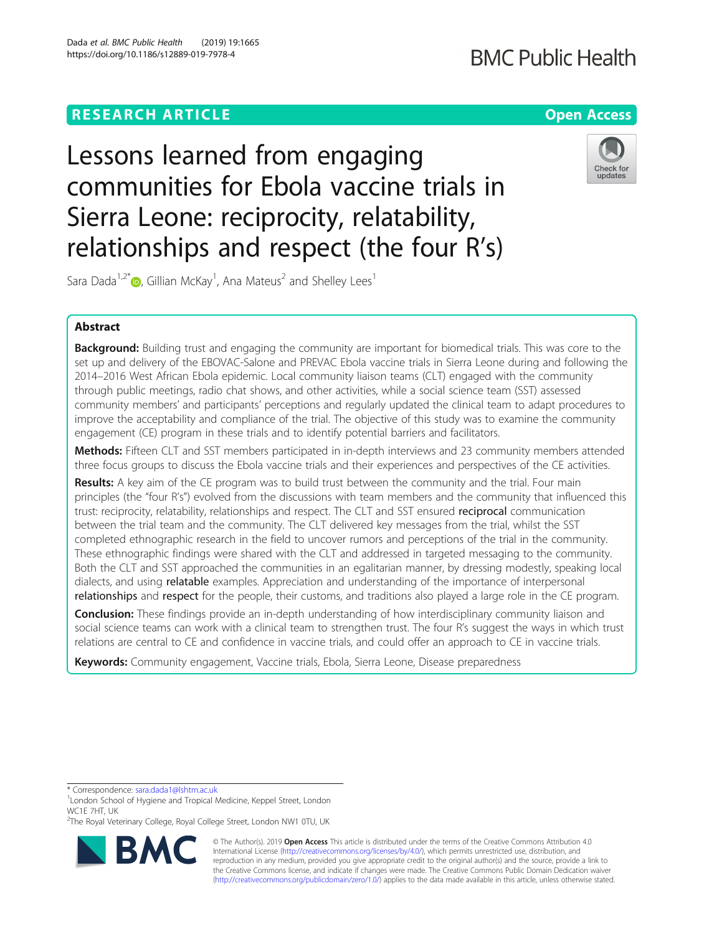### **RESEARCH ARTICLE Example 2014 12:30 The Contract of Contract ACCESS**

## **BMC Public Health**

# Lessons learned from engaging communities for Ebola vaccine trials in Sierra Leone: reciprocity, relatability, relationships and respect (the four R's)



Sara Dada<sup>1,2\*</sup> $\textsf{\textcircled{\tiny D}}$ , Gillian McKay<sup>1</sup>, Ana Mateus<sup>2</sup> and Shelley Lees<sup>1</sup>

### Abstract

Background: Building trust and engaging the community are important for biomedical trials. This was core to the set up and delivery of the EBOVAC-Salone and PREVAC Ebola vaccine trials in Sierra Leone during and following the 2014–2016 West African Ebola epidemic. Local community liaison teams (CLT) engaged with the community through public meetings, radio chat shows, and other activities, while a social science team (SST) assessed community members' and participants' perceptions and regularly updated the clinical team to adapt procedures to improve the acceptability and compliance of the trial. The objective of this study was to examine the community engagement (CE) program in these trials and to identify potential barriers and facilitators.

Methods: Fifteen CLT and SST members participated in in-depth interviews and 23 community members attended three focus groups to discuss the Ebola vaccine trials and their experiences and perspectives of the CE activities.

Results: A key aim of the CE program was to build trust between the community and the trial. Four main principles (the "four R's") evolved from the discussions with team members and the community that influenced this trust: reciprocity, relatability, relationships and respect. The CLT and SST ensured reciprocal communication between the trial team and the community. The CLT delivered key messages from the trial, whilst the SST completed ethnographic research in the field to uncover rumors and perceptions of the trial in the community. These ethnographic findings were shared with the CLT and addressed in targeted messaging to the community. Both the CLT and SST approached the communities in an egalitarian manner, by dressing modestly, speaking local dialects, and using relatable examples. Appreciation and understanding of the importance of interpersonal relationships and respect for the people, their customs, and traditions also played a large role in the CE program.

**Conclusion:** These findings provide an in-depth understanding of how interdisciplinary community liaison and social science teams can work with a clinical team to strengthen trust. The four R's suggest the ways in which trust relations are central to CE and confidence in vaccine trials, and could offer an approach to CE in vaccine trials.

Keywords: Community engagement, Vaccine trials, Ebola, Sierra Leone, Disease preparedness

\* Correspondence: [sara.dada1@lshtm.ac.uk](mailto:sara.dada1@lshtm.ac.uk) <sup>1</sup>

<sup>&</sup>lt;sup>2</sup>The Royal Veterinary College, Royal College Street, London NW1 0TU, UK



© The Author(s). 2019 **Open Access** This article is distributed under the terms of the Creative Commons Attribution 4.0 International License [\(http://creativecommons.org/licenses/by/4.0/](http://creativecommons.org/licenses/by/4.0/)), which permits unrestricted use, distribution, and reproduction in any medium, provided you give appropriate credit to the original author(s) and the source, provide a link to the Creative Commons license, and indicate if changes were made. The Creative Commons Public Domain Dedication waiver [\(http://creativecommons.org/publicdomain/zero/1.0/](http://creativecommons.org/publicdomain/zero/1.0/)) applies to the data made available in this article, unless otherwise stated.

<sup>&</sup>lt;sup>1</sup> London School of Hygiene and Tropical Medicine, Keppel Street, London WC1E 7HT, UK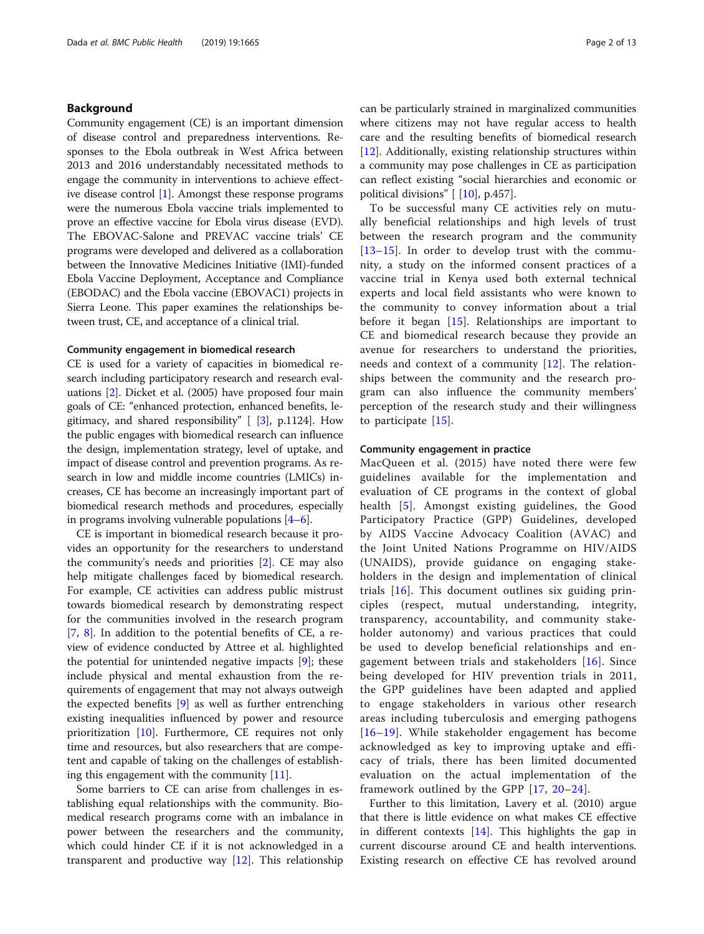#### Background

Community engagement (CE) is an important dimension of disease control and preparedness interventions. Responses to the Ebola outbreak in West Africa between 2013 and 2016 understandably necessitated methods to engage the community in interventions to achieve effective disease control [\[1](#page-11-0)]. Amongst these response programs were the numerous Ebola vaccine trials implemented to prove an effective vaccine for Ebola virus disease (EVD). The EBOVAC-Salone and PREVAC vaccine trials' CE programs were developed and delivered as a collaboration between the Innovative Medicines Initiative (IMI)-funded Ebola Vaccine Deployment, Acceptance and Compliance (EBODAC) and the Ebola vaccine (EBOVAC1) projects in Sierra Leone. This paper examines the relationships between trust, CE, and acceptance of a clinical trial.

#### Community engagement in biomedical research

CE is used for a variety of capacities in biomedical research including participatory research and research evaluations [\[2](#page-11-0)]. Dicket et al. (2005) have proposed four main goals of CE: "enhanced protection, enhanced benefits, legitimacy, and shared responsibility"  $[3]$ , p.1124]. How the public engages with biomedical research can influence the design, implementation strategy, level of uptake, and impact of disease control and prevention programs. As research in low and middle income countries (LMICs) increases, CE has become an increasingly important part of biomedical research methods and procedures, especially in programs involving vulnerable populations [[4](#page-11-0)–[6](#page-11-0)].

CE is important in biomedical research because it provides an opportunity for the researchers to understand the community's needs and priorities [\[2](#page-11-0)]. CE may also help mitigate challenges faced by biomedical research. For example, CE activities can address public mistrust towards biomedical research by demonstrating respect for the communities involved in the research program [[7,](#page-11-0) [8\]](#page-11-0). In addition to the potential benefits of CE, a review of evidence conducted by Attree et al. highlighted the potential for unintended negative impacts [\[9](#page-11-0)]; these include physical and mental exhaustion from the requirements of engagement that may not always outweigh the expected benefits [\[9](#page-11-0)] as well as further entrenching existing inequalities influenced by power and resource prioritization [[10](#page-11-0)]. Furthermore, CE requires not only time and resources, but also researchers that are competent and capable of taking on the challenges of establishing this engagement with the community [[11\]](#page-11-0).

Some barriers to CE can arise from challenges in establishing equal relationships with the community. Biomedical research programs come with an imbalance in power between the researchers and the community, which could hinder CE if it is not acknowledged in a transparent and productive way [[12](#page-11-0)]. This relationship can be particularly strained in marginalized communities where citizens may not have regular access to health care and the resulting benefits of biomedical research [[12\]](#page-11-0). Additionally, existing relationship structures within a community may pose challenges in CE as participation can reflect existing "social hierarchies and economic or political divisions" [ [\[10](#page-11-0)], p.457].

To be successful many CE activities rely on mutually beneficial relationships and high levels of trust between the research program and the community [[13](#page-11-0)–[15\]](#page-11-0). In order to develop trust with the community, a study on the informed consent practices of a vaccine trial in Kenya used both external technical experts and local field assistants who were known to the community to convey information about a trial before it began [[15\]](#page-11-0). Relationships are important to CE and biomedical research because they provide an avenue for researchers to understand the priorities, needs and context of a community [[12\]](#page-11-0). The relationships between the community and the research program can also influence the community members' perception of the research study and their willingness to participate [\[15](#page-11-0)].

#### Community engagement in practice

MacQueen et al. (2015) have noted there were few guidelines available for the implementation and evaluation of CE programs in the context of global health [[5](#page-11-0)]. Amongst existing guidelines, the Good Participatory Practice (GPP) Guidelines, developed by AIDS Vaccine Advocacy Coalition (AVAC) and the Joint United Nations Programme on HIV/AIDS (UNAIDS), provide guidance on engaging stakeholders in the design and implementation of clinical trials [[16](#page-11-0)]. This document outlines six guiding principles (respect, mutual understanding, integrity, transparency, accountability, and community stakeholder autonomy) and various practices that could be used to develop beneficial relationships and engagement between trials and stakeholders [[16\]](#page-11-0). Since being developed for HIV prevention trials in 2011, the GPP guidelines have been adapted and applied to engage stakeholders in various other research areas including tuberculosis and emerging pathogens [[16](#page-11-0)–[19\]](#page-11-0). While stakeholder engagement has become acknowledged as key to improving uptake and efficacy of trials, there has been limited documented evaluation on the actual implementation of the framework outlined by the GPP [[17](#page-11-0), [20](#page-11-0)–[24\]](#page-11-0).

Further to this limitation, Lavery et al. (2010) argue that there is little evidence on what makes CE effective in different contexts [[14\]](#page-11-0). This highlights the gap in current discourse around CE and health interventions. Existing research on effective CE has revolved around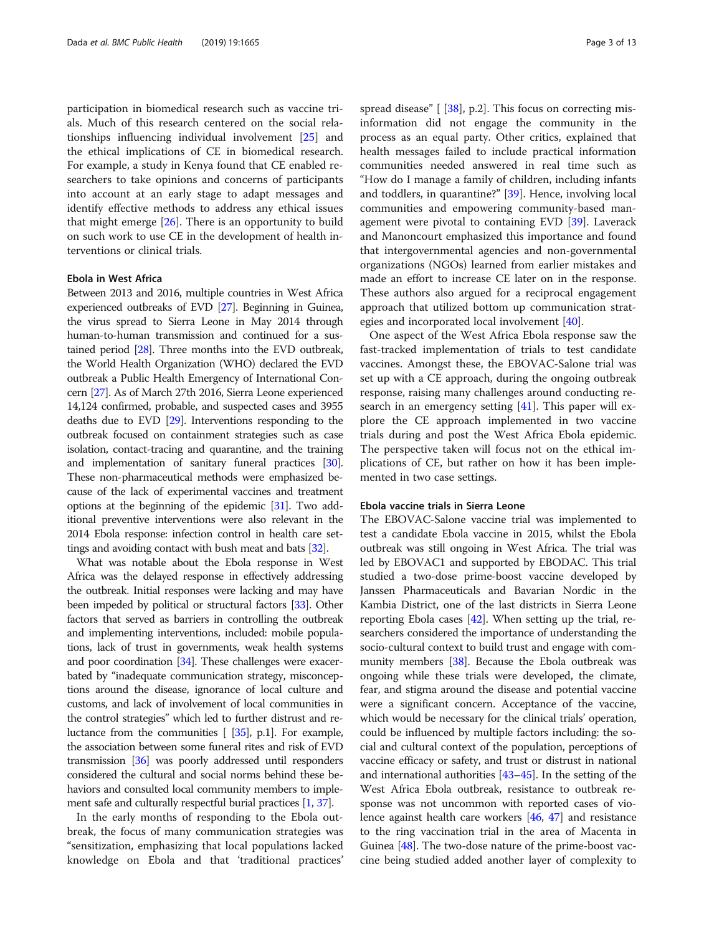participation in biomedical research such as vaccine trials. Much of this research centered on the social relationships influencing individual involvement [[25](#page-11-0)] and the ethical implications of CE in biomedical research. For example, a study in Kenya found that CE enabled researchers to take opinions and concerns of participants into account at an early stage to adapt messages and identify effective methods to address any ethical issues that might emerge  $[26]$  $[26]$ . There is an opportunity to build on such work to use CE in the development of health interventions or clinical trials.

#### Ebola in West Africa

Between 2013 and 2016, multiple countries in West Africa experienced outbreaks of EVD [\[27](#page-11-0)]. Beginning in Guinea, the virus spread to Sierra Leone in May 2014 through human-to-human transmission and continued for a sustained period [\[28\]](#page-11-0). Three months into the EVD outbreak, the World Health Organization (WHO) declared the EVD outbreak a Public Health Emergency of International Concern [\[27\]](#page-11-0). As of March 27th 2016, Sierra Leone experienced 14,124 confirmed, probable, and suspected cases and 3955 deaths due to EVD [\[29\]](#page-11-0). Interventions responding to the outbreak focused on containment strategies such as case isolation, contact-tracing and quarantine, and the training and implementation of sanitary funeral practices [\[30](#page-11-0)]. These non-pharmaceutical methods were emphasized because of the lack of experimental vaccines and treatment options at the beginning of the epidemic [\[31](#page-11-0)]. Two additional preventive interventions were also relevant in the 2014 Ebola response: infection control in health care settings and avoiding contact with bush meat and bats [[32](#page-11-0)].

What was notable about the Ebola response in West Africa was the delayed response in effectively addressing the outbreak. Initial responses were lacking and may have been impeded by political or structural factors [\[33\]](#page-11-0). Other factors that served as barriers in controlling the outbreak and implementing interventions, included: mobile populations, lack of trust in governments, weak health systems and poor coordination [\[34\]](#page-11-0). These challenges were exacerbated by "inadequate communication strategy, misconceptions around the disease, ignorance of local culture and customs, and lack of involvement of local communities in the control strategies" which led to further distrust and reluctance from the communities [ [[35](#page-11-0)], p.1]. For example, the association between some funeral rites and risk of EVD transmission [\[36\]](#page-12-0) was poorly addressed until responders considered the cultural and social norms behind these behaviors and consulted local community members to implement safe and culturally respectful burial practices [[1,](#page-11-0) [37\]](#page-12-0).

In the early months of responding to the Ebola outbreak, the focus of many communication strategies was "sensitization, emphasizing that local populations lacked knowledge on Ebola and that 'traditional practices'

spread disease" [ [[38](#page-12-0)], p.2]. This focus on correcting misinformation did not engage the community in the process as an equal party. Other critics, explained that health messages failed to include practical information communities needed answered in real time such as "How do I manage a family of children, including infants and toddlers, in quarantine?" [[39](#page-12-0)]. Hence, involving local communities and empowering community-based management were pivotal to containing EVD [\[39](#page-12-0)]. Laverack and Manoncourt emphasized this importance and found that intergovernmental agencies and non-governmental organizations (NGOs) learned from earlier mistakes and made an effort to increase CE later on in the response. These authors also argued for a reciprocal engagement approach that utilized bottom up communication strategies and incorporated local involvement [\[40\]](#page-12-0).

One aspect of the West Africa Ebola response saw the fast-tracked implementation of trials to test candidate vaccines. Amongst these, the EBOVAC-Salone trial was set up with a CE approach, during the ongoing outbreak response, raising many challenges around conducting research in an emergency setting [[41\]](#page-12-0). This paper will explore the CE approach implemented in two vaccine trials during and post the West Africa Ebola epidemic. The perspective taken will focus not on the ethical implications of CE, but rather on how it has been implemented in two case settings.

#### Ebola vaccine trials in Sierra Leone

The EBOVAC-Salone vaccine trial was implemented to test a candidate Ebola vaccine in 2015, whilst the Ebola outbreak was still ongoing in West Africa. The trial was led by EBOVAC1 and supported by EBODAC. This trial studied a two-dose prime-boost vaccine developed by Janssen Pharmaceuticals and Bavarian Nordic in the Kambia District, one of the last districts in Sierra Leone reporting Ebola cases [\[42](#page-12-0)]. When setting up the trial, researchers considered the importance of understanding the socio-cultural context to build trust and engage with community members [\[38\]](#page-12-0). Because the Ebola outbreak was ongoing while these trials were developed, the climate, fear, and stigma around the disease and potential vaccine were a significant concern. Acceptance of the vaccine, which would be necessary for the clinical trials' operation, could be influenced by multiple factors including: the social and cultural context of the population, perceptions of vaccine efficacy or safety, and trust or distrust in national and international authorities [\[43](#page-12-0)–[45](#page-12-0)]. In the setting of the West Africa Ebola outbreak, resistance to outbreak response was not uncommon with reported cases of violence against health care workers [[46](#page-12-0), [47\]](#page-12-0) and resistance to the ring vaccination trial in the area of Macenta in Guinea [\[48](#page-12-0)]. The two-dose nature of the prime-boost vaccine being studied added another layer of complexity to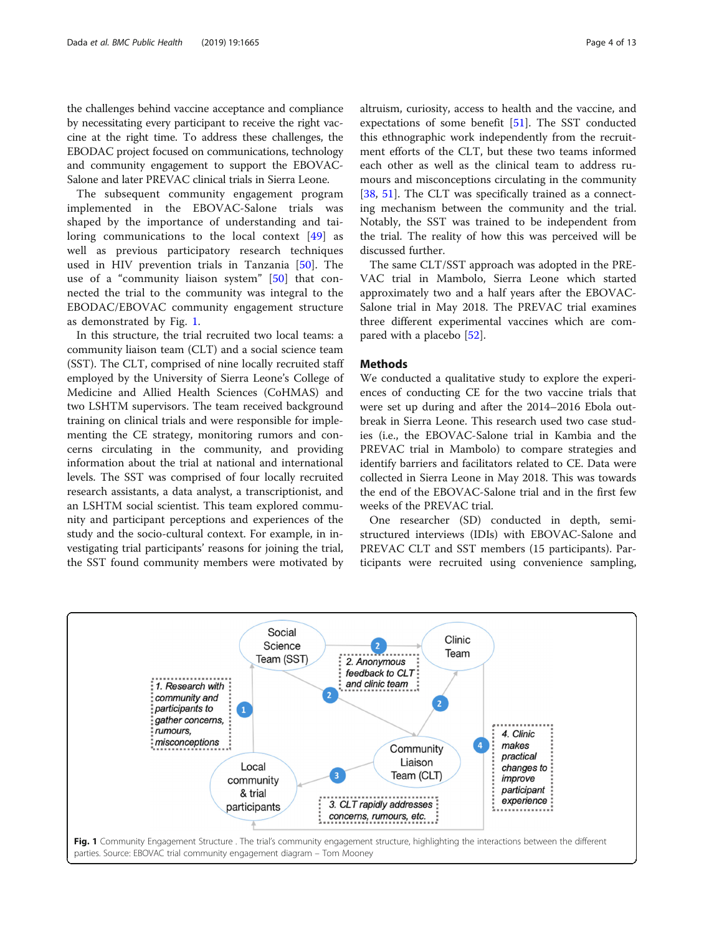<span id="page-3-0"></span>the challenges behind vaccine acceptance and compliance by necessitating every participant to receive the right vaccine at the right time. To address these challenges, the EBODAC project focused on communications, technology and community engagement to support the EBOVAC-Salone and later PREVAC clinical trials in Sierra Leone.

The subsequent community engagement program implemented in the EBOVAC-Salone trials was shaped by the importance of understanding and tailoring communications to the local context [[49\]](#page-12-0) as well as previous participatory research techniques used in HIV prevention trials in Tanzania [\[50](#page-12-0)]. The use of a "community liaison system" [[50\]](#page-12-0) that connected the trial to the community was integral to the EBODAC/EBOVAC community engagement structure as demonstrated by Fig. 1.

In this structure, the trial recruited two local teams: a community liaison team (CLT) and a social science team (SST). The CLT, comprised of nine locally recruited staff employed by the University of Sierra Leone's College of Medicine and Allied Health Sciences (CoHMAS) and two LSHTM supervisors. The team received background training on clinical trials and were responsible for implementing the CE strategy, monitoring rumors and concerns circulating in the community, and providing information about the trial at national and international levels. The SST was comprised of four locally recruited research assistants, a data analyst, a transcriptionist, and an LSHTM social scientist. This team explored community and participant perceptions and experiences of the study and the socio-cultural context. For example, in investigating trial participants' reasons for joining the trial, the SST found community members were motivated by altruism, curiosity, access to health and the vaccine, and expectations of some benefit [\[51](#page-12-0)]. The SST conducted this ethnographic work independently from the recruitment efforts of the CLT, but these two teams informed each other as well as the clinical team to address rumours and misconceptions circulating in the community [[38,](#page-12-0) [51](#page-12-0)]. The CLT was specifically trained as a connecting mechanism between the community and the trial. Notably, the SST was trained to be independent from the trial. The reality of how this was perceived will be discussed further.

The same CLT/SST approach was adopted in the PRE-VAC trial in Mambolo, Sierra Leone which started approximately two and a half years after the EBOVAC-Salone trial in May 2018. The PREVAC trial examines three different experimental vaccines which are compared with a placebo [\[52\]](#page-12-0).

#### Methods

We conducted a qualitative study to explore the experiences of conducting CE for the two vaccine trials that were set up during and after the 2014–2016 Ebola outbreak in Sierra Leone. This research used two case studies (i.e., the EBOVAC-Salone trial in Kambia and the PREVAC trial in Mambolo) to compare strategies and identify barriers and facilitators related to CE. Data were collected in Sierra Leone in May 2018. This was towards the end of the EBOVAC-Salone trial and in the first few weeks of the PREVAC trial.

One researcher (SD) conducted in depth, semistructured interviews (IDIs) with EBOVAC-Salone and PREVAC CLT and SST members (15 participants). Participants were recruited using convenience sampling,

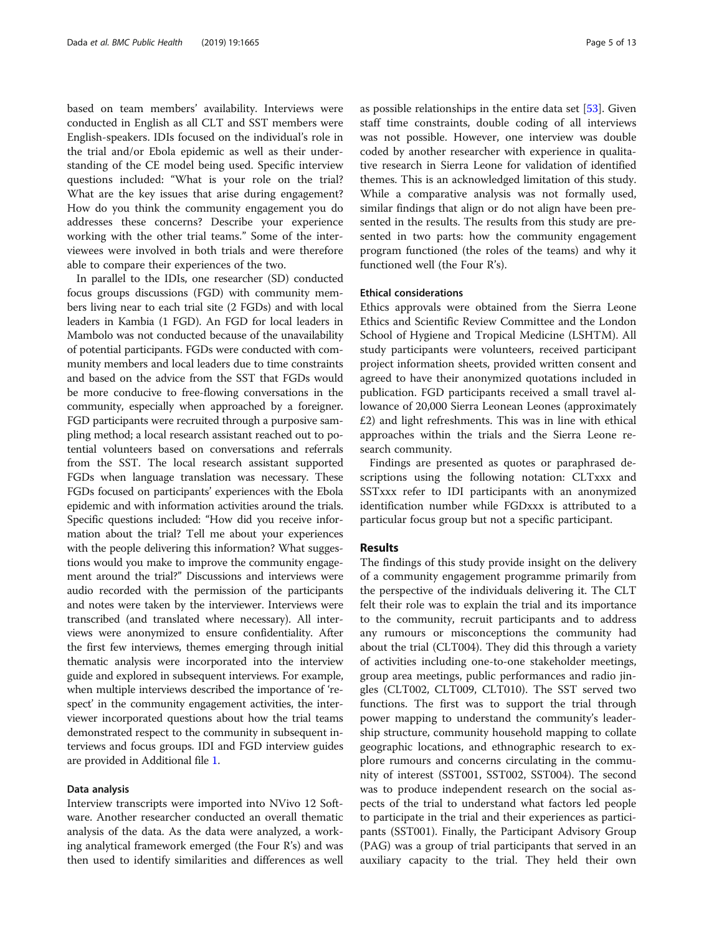based on team members' availability. Interviews were conducted in English as all CLT and SST members were English-speakers. IDIs focused on the individual's role in the trial and/or Ebola epidemic as well as their understanding of the CE model being used. Specific interview questions included: "What is your role on the trial? What are the key issues that arise during engagement? How do you think the community engagement you do addresses these concerns? Describe your experience working with the other trial teams." Some of the interviewees were involved in both trials and were therefore able to compare their experiences of the two.

In parallel to the IDIs, one researcher (SD) conducted focus groups discussions (FGD) with community members living near to each trial site (2 FGDs) and with local leaders in Kambia (1 FGD). An FGD for local leaders in Mambolo was not conducted because of the unavailability of potential participants. FGDs were conducted with community members and local leaders due to time constraints and based on the advice from the SST that FGDs would be more conducive to free-flowing conversations in the community, especially when approached by a foreigner. FGD participants were recruited through a purposive sampling method; a local research assistant reached out to potential volunteers based on conversations and referrals from the SST. The local research assistant supported FGDs when language translation was necessary. These FGDs focused on participants' experiences with the Ebola epidemic and with information activities around the trials. Specific questions included: "How did you receive information about the trial? Tell me about your experiences with the people delivering this information? What suggestions would you make to improve the community engagement around the trial?" Discussions and interviews were audio recorded with the permission of the participants and notes were taken by the interviewer. Interviews were transcribed (and translated where necessary). All interviews were anonymized to ensure confidentiality. After the first few interviews, themes emerging through initial thematic analysis were incorporated into the interview guide and explored in subsequent interviews. For example, when multiple interviews described the importance of 'respect' in the community engagement activities, the interviewer incorporated questions about how the trial teams demonstrated respect to the community in subsequent interviews and focus groups. IDI and FGD interview guides are provided in Additional file [1](#page-10-0).

#### Data analysis

Interview transcripts were imported into NVivo 12 Software. Another researcher conducted an overall thematic analysis of the data. As the data were analyzed, a working analytical framework emerged (the Four R's) and was then used to identify similarities and differences as well as possible relationships in the entire data set [\[53](#page-12-0)]. Given staff time constraints, double coding of all interviews was not possible. However, one interview was double coded by another researcher with experience in qualitative research in Sierra Leone for validation of identified themes. This is an acknowledged limitation of this study. While a comparative analysis was not formally used, similar findings that align or do not align have been presented in the results. The results from this study are presented in two parts: how the community engagement program functioned (the roles of the teams) and why it functioned well (the Four R's).

#### Ethical considerations

Ethics approvals were obtained from the Sierra Leone Ethics and Scientific Review Committee and the London School of Hygiene and Tropical Medicine (LSHTM). All study participants were volunteers, received participant project information sheets, provided written consent and agreed to have their anonymized quotations included in publication. FGD participants received a small travel allowance of 20,000 Sierra Leonean Leones (approximately £2) and light refreshments. This was in line with ethical approaches within the trials and the Sierra Leone research community.

Findings are presented as quotes or paraphrased descriptions using the following notation: CLTxxx and SSTxxx refer to IDI participants with an anonymized identification number while FGDxxx is attributed to a particular focus group but not a specific participant.

#### Results

The findings of this study provide insight on the delivery of a community engagement programme primarily from the perspective of the individuals delivering it. The CLT felt their role was to explain the trial and its importance to the community, recruit participants and to address any rumours or misconceptions the community had about the trial (CLT004). They did this through a variety of activities including one-to-one stakeholder meetings, group area meetings, public performances and radio jingles (CLT002, CLT009, CLT010). The SST served two functions. The first was to support the trial through power mapping to understand the community's leadership structure, community household mapping to collate geographic locations, and ethnographic research to explore rumours and concerns circulating in the community of interest (SST001, SST002, SST004). The second was to produce independent research on the social aspects of the trial to understand what factors led people to participate in the trial and their experiences as participants (SST001). Finally, the Participant Advisory Group (PAG) was a group of trial participants that served in an auxiliary capacity to the trial. They held their own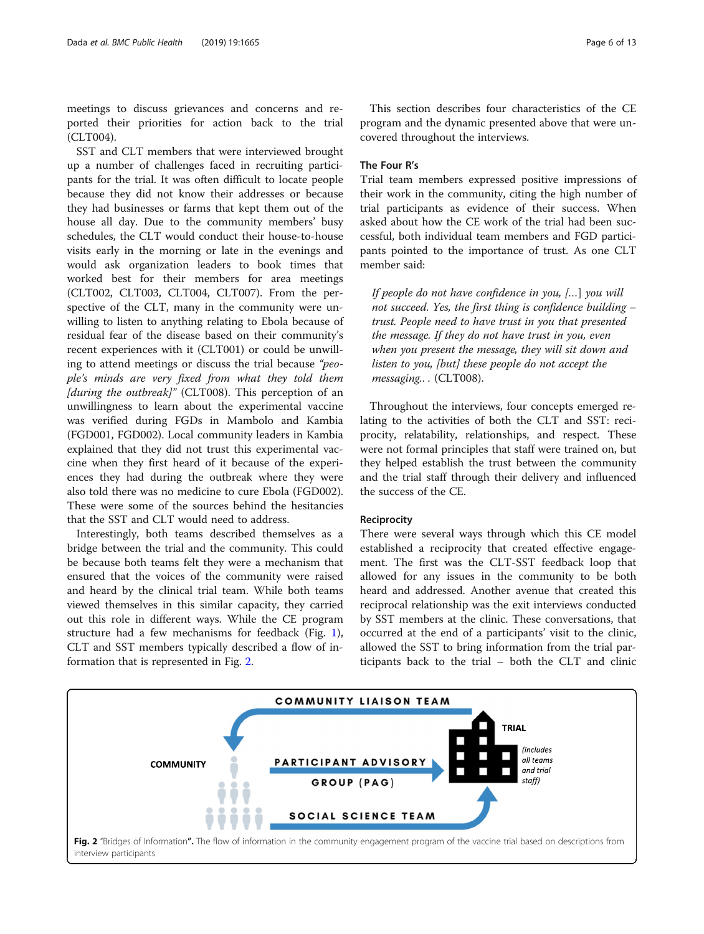meetings to discuss grievances and concerns and reported their priorities for action back to the trial (CLT004).

SST and CLT members that were interviewed brought up a number of challenges faced in recruiting participants for the trial. It was often difficult to locate people because they did not know their addresses or because they had businesses or farms that kept them out of the house all day. Due to the community members' busy schedules, the CLT would conduct their house-to-house visits early in the morning or late in the evenings and would ask organization leaders to book times that worked best for their members for area meetings (CLT002, CLT003, CLT004, CLT007). From the perspective of the CLT, many in the community were unwilling to listen to anything relating to Ebola because of residual fear of the disease based on their community's recent experiences with it (CLT001) or could be unwilling to attend meetings or discuss the trial because "people's minds are very fixed from what they told them [during the outbreak]" (CLT008). This perception of an unwillingness to learn about the experimental vaccine was verified during FGDs in Mambolo and Kambia (FGD001, FGD002). Local community leaders in Kambia explained that they did not trust this experimental vaccine when they first heard of it because of the experiences they had during the outbreak where they were also told there was no medicine to cure Ebola (FGD002). These were some of the sources behind the hesitancies that the SST and CLT would need to address.

Interestingly, both teams described themselves as a bridge between the trial and the community. This could be because both teams felt they were a mechanism that ensured that the voices of the community were raised and heard by the clinical trial team. While both teams viewed themselves in this similar capacity, they carried out this role in different ways. While the CE program structure had a few mechanisms for feedback (Fig. [1](#page-3-0)), CLT and SST members typically described a flow of information that is represented in Fig. 2.

This section describes four characteristics of the CE program and the dynamic presented above that were uncovered throughout the interviews.

#### The Four R's

Trial team members expressed positive impressions of their work in the community, citing the high number of trial participants as evidence of their success. When asked about how the CE work of the trial had been successful, both individual team members and FGD participants pointed to the importance of trust. As one CLT member said:

If people do not have confidence in you, […] you will not succeed. Yes, the first thing is confidence building – trust. People need to have trust in you that presented the message. If they do not have trust in you, even when you present the message, they will sit down and listen to you, [but] these people do not accept the messaging.. . (CLT008).

Throughout the interviews, four concepts emerged relating to the activities of both the CLT and SST: reciprocity, relatability, relationships, and respect. These were not formal principles that staff were trained on, but they helped establish the trust between the community and the trial staff through their delivery and influenced the success of the CE.

#### Reciprocity

There were several ways through which this CE model established a reciprocity that created effective engagement. The first was the CLT-SST feedback loop that allowed for any issues in the community to be both heard and addressed. Another avenue that created this reciprocal relationship was the exit interviews conducted by SST members at the clinic. These conversations, that occurred at the end of a participants' visit to the clinic, allowed the SST to bring information from the trial participants back to the trial – both the CLT and clinic

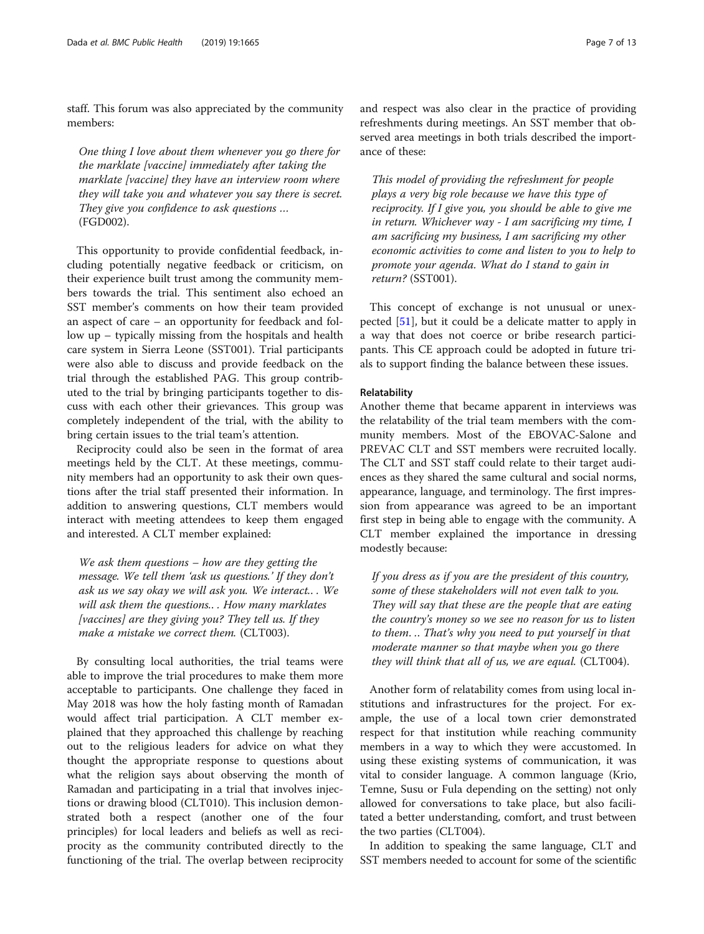staff. This forum was also appreciated by the community members:

One thing I love about them whenever you go there for the marklate [vaccine] immediately after taking the marklate [vaccine] they have an interview room where they will take you and whatever you say there is secret. They give you confidence to ask questions ... (FGD002).

This opportunity to provide confidential feedback, including potentially negative feedback or criticism, on their experience built trust among the community members towards the trial. This sentiment also echoed an SST member's comments on how their team provided an aspect of care – an opportunity for feedback and follow up – typically missing from the hospitals and health care system in Sierra Leone (SST001). Trial participants were also able to discuss and provide feedback on the trial through the established PAG. This group contributed to the trial by bringing participants together to discuss with each other their grievances. This group was completely independent of the trial, with the ability to bring certain issues to the trial team's attention.

Reciprocity could also be seen in the format of area meetings held by the CLT. At these meetings, community members had an opportunity to ask their own questions after the trial staff presented their information. In addition to answering questions, CLT members would interact with meeting attendees to keep them engaged and interested. A CLT member explained:

We ask them questions – how are they getting the message. We tell them 'ask us questions.' If they don't ask us we say okay we will ask you. We interact.. . We will ask them the questions.. . How many marklates [vaccines] are they giving you? They tell us. If they make a mistake we correct them. (CLT003).

By consulting local authorities, the trial teams were able to improve the trial procedures to make them more acceptable to participants. One challenge they faced in May 2018 was how the holy fasting month of Ramadan would affect trial participation. A CLT member explained that they approached this challenge by reaching out to the religious leaders for advice on what they thought the appropriate response to questions about what the religion says about observing the month of Ramadan and participating in a trial that involves injections or drawing blood (CLT010). This inclusion demonstrated both a respect (another one of the four principles) for local leaders and beliefs as well as reciprocity as the community contributed directly to the functioning of the trial. The overlap between reciprocity and respect was also clear in the practice of providing refreshments during meetings. An SST member that observed area meetings in both trials described the importance of these:

This model of providing the refreshment for people plays a very big role because we have this type of reciprocity. If I give you, you should be able to give me in return. Whichever way - I am sacrificing my time, I am sacrificing my business, I am sacrificing my other economic activities to come and listen to you to help to promote your agenda. What do I stand to gain in return? (SST001).

This concept of exchange is not unusual or unexpected [\[51\]](#page-12-0), but it could be a delicate matter to apply in a way that does not coerce or bribe research participants. This CE approach could be adopted in future trials to support finding the balance between these issues.

#### Relatability

Another theme that became apparent in interviews was the relatability of the trial team members with the community members. Most of the EBOVAC-Salone and PREVAC CLT and SST members were recruited locally. The CLT and SST staff could relate to their target audiences as they shared the same cultural and social norms, appearance, language, and terminology. The first impression from appearance was agreed to be an important first step in being able to engage with the community. A CLT member explained the importance in dressing modestly because:

If you dress as if you are the president of this country, some of these stakeholders will not even talk to you. They will say that these are the people that are eating the country's money so we see no reason for us to listen to them. .. That's why you need to put yourself in that moderate manner so that maybe when you go there they will think that all of us, we are equal. (CLT004).

Another form of relatability comes from using local institutions and infrastructures for the project. For example, the use of a local town crier demonstrated respect for that institution while reaching community members in a way to which they were accustomed. In using these existing systems of communication, it was vital to consider language. A common language (Krio, Temne, Susu or Fula depending on the setting) not only allowed for conversations to take place, but also facilitated a better understanding, comfort, and trust between the two parties (CLT004).

In addition to speaking the same language, CLT and SST members needed to account for some of the scientific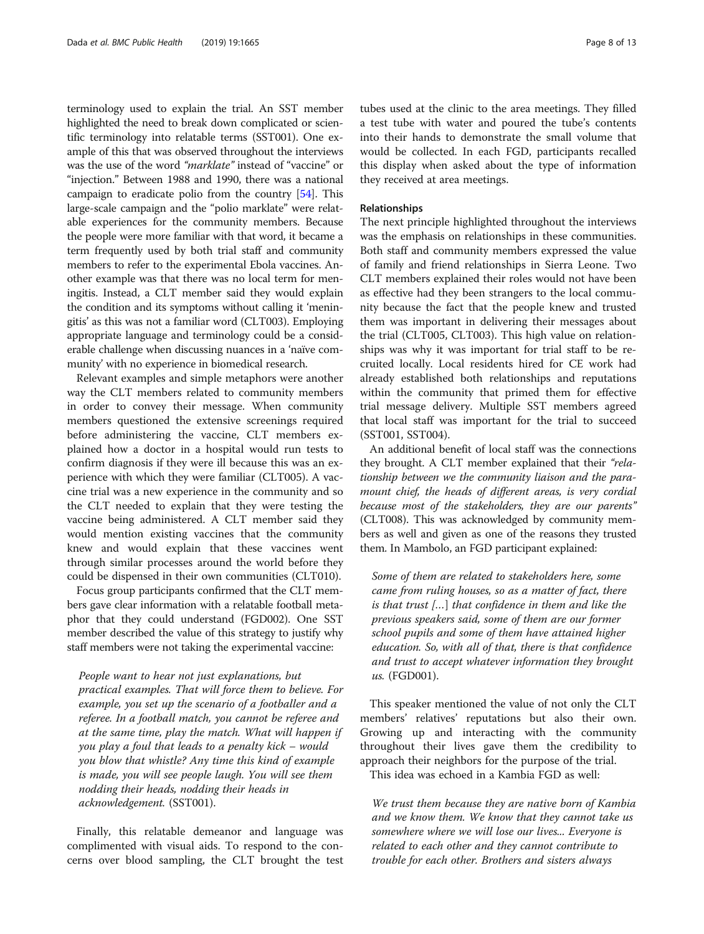terminology used to explain the trial. An SST member highlighted the need to break down complicated or scientific terminology into relatable terms (SST001). One example of this that was observed throughout the interviews was the use of the word "marklate" instead of "vaccine" or "injection." Between 1988 and 1990, there was a national campaign to eradicate polio from the country [[54](#page-12-0)]. This large-scale campaign and the "polio marklate" were relatable experiences for the community members. Because the people were more familiar with that word, it became a term frequently used by both trial staff and community members to refer to the experimental Ebola vaccines. Another example was that there was no local term for meningitis. Instead, a CLT member said they would explain the condition and its symptoms without calling it 'meningitis' as this was not a familiar word (CLT003). Employing appropriate language and terminology could be a considerable challenge when discussing nuances in a 'naïve community' with no experience in biomedical research.

Relevant examples and simple metaphors were another way the CLT members related to community members in order to convey their message. When community members questioned the extensive screenings required before administering the vaccine, CLT members explained how a doctor in a hospital would run tests to confirm diagnosis if they were ill because this was an experience with which they were familiar (CLT005). A vaccine trial was a new experience in the community and so the CLT needed to explain that they were testing the vaccine being administered. A CLT member said they would mention existing vaccines that the community knew and would explain that these vaccines went through similar processes around the world before they could be dispensed in their own communities (CLT010).

Focus group participants confirmed that the CLT members gave clear information with a relatable football metaphor that they could understand (FGD002). One SST member described the value of this strategy to justify why staff members were not taking the experimental vaccine:

People want to hear not just explanations, but practical examples. That will force them to believe. For example, you set up the scenario of a footballer and a referee. In a football match, you cannot be referee and at the same time, play the match. What will happen if you play a foul that leads to a penalty kick – would you blow that whistle? Any time this kind of example is made, you will see people laugh. You will see them nodding their heads, nodding their heads in acknowledgement. (SST001).

Finally, this relatable demeanor and language was complimented with visual aids. To respond to the concerns over blood sampling, the CLT brought the test

tubes used at the clinic to the area meetings. They filled a test tube with water and poured the tube's contents into their hands to demonstrate the small volume that would be collected. In each FGD, participants recalled this display when asked about the type of information they received at area meetings.

#### Relationships

The next principle highlighted throughout the interviews was the emphasis on relationships in these communities. Both staff and community members expressed the value of family and friend relationships in Sierra Leone. Two CLT members explained their roles would not have been as effective had they been strangers to the local community because the fact that the people knew and trusted them was important in delivering their messages about the trial (CLT005, CLT003). This high value on relationships was why it was important for trial staff to be recruited locally. Local residents hired for CE work had already established both relationships and reputations within the community that primed them for effective trial message delivery. Multiple SST members agreed that local staff was important for the trial to succeed (SST001, SST004).

An additional benefit of local staff was the connections they brought. A CLT member explained that their "relationship between we the community liaison and the paramount chief, the heads of different areas, is very cordial because most of the stakeholders, they are our parents" (CLT008). This was acknowledged by community members as well and given as one of the reasons they trusted them. In Mambolo, an FGD participant explained:

Some of them are related to stakeholders here, some came from ruling houses, so as a matter of fact, there is that trust […] that confidence in them and like the previous speakers said, some of them are our former school pupils and some of them have attained higher education. So, with all of that, there is that confidence and trust to accept whatever information they brought us. (FGD001).

This speaker mentioned the value of not only the CLT members' relatives' reputations but also their own. Growing up and interacting with the community throughout their lives gave them the credibility to approach their neighbors for the purpose of the trial. This idea was echoed in a Kambia FGD as well:

We trust them because they are native born of Kambia and we know them. We know that they cannot take us somewhere where we will lose our lives... Everyone is related to each other and they cannot contribute to trouble for each other. Brothers and sisters always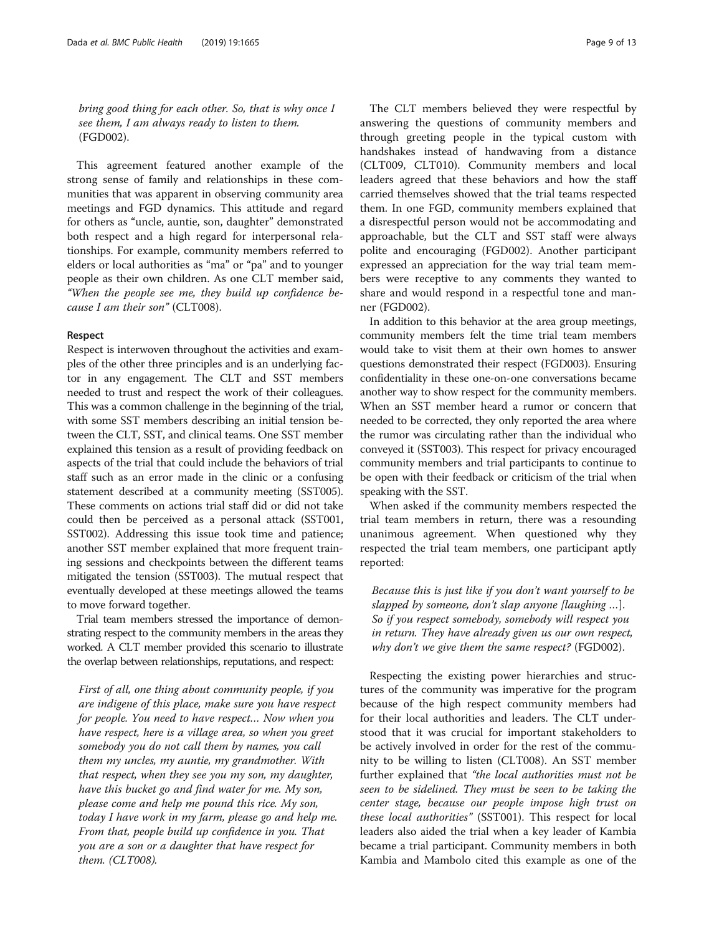bring good thing for each other. So, that is why once I see them, I am always ready to listen to them. (FGD002).

This agreement featured another example of the strong sense of family and relationships in these communities that was apparent in observing community area meetings and FGD dynamics. This attitude and regard for others as "uncle, auntie, son, daughter" demonstrated both respect and a high regard for interpersonal relationships. For example, community members referred to elders or local authorities as "ma" or "pa" and to younger people as their own children. As one CLT member said, "When the people see me, they build up confidence because I am their son" (CLT008).

#### Respect

Respect is interwoven throughout the activities and examples of the other three principles and is an underlying factor in any engagement. The CLT and SST members needed to trust and respect the work of their colleagues. This was a common challenge in the beginning of the trial, with some SST members describing an initial tension between the CLT, SST, and clinical teams. One SST member explained this tension as a result of providing feedback on aspects of the trial that could include the behaviors of trial staff such as an error made in the clinic or a confusing statement described at a community meeting (SST005). These comments on actions trial staff did or did not take could then be perceived as a personal attack (SST001, SST002). Addressing this issue took time and patience; another SST member explained that more frequent training sessions and checkpoints between the different teams mitigated the tension (SST003). The mutual respect that eventually developed at these meetings allowed the teams to move forward together.

Trial team members stressed the importance of demonstrating respect to the community members in the areas they worked. A CLT member provided this scenario to illustrate the overlap between relationships, reputations, and respect:

First of all, one thing about community people, if you are indigene of this place, make sure you have respect for people. You need to have respect… Now when you have respect, here is a village area, so when you greet somebody you do not call them by names, you call them my uncles, my auntie, my grandmother. With that respect, when they see you my son, my daughter, have this bucket go and find water for me. My son, please come and help me pound this rice. My son, today I have work in my farm, please go and help me. From that, people build up confidence in you. That you are a son or a daughter that have respect for them. (CLT008).

The CLT members believed they were respectful by answering the questions of community members and through greeting people in the typical custom with handshakes instead of handwaving from a distance (CLT009, CLT010). Community members and local leaders agreed that these behaviors and how the staff carried themselves showed that the trial teams respected them. In one FGD, community members explained that a disrespectful person would not be accommodating and approachable, but the CLT and SST staff were always polite and encouraging (FGD002). Another participant expressed an appreciation for the way trial team members were receptive to any comments they wanted to share and would respond in a respectful tone and manner (FGD002).

In addition to this behavior at the area group meetings, community members felt the time trial team members would take to visit them at their own homes to answer questions demonstrated their respect (FGD003). Ensuring confidentiality in these one-on-one conversations became another way to show respect for the community members. When an SST member heard a rumor or concern that needed to be corrected, they only reported the area where the rumor was circulating rather than the individual who conveyed it (SST003). This respect for privacy encouraged community members and trial participants to continue to be open with their feedback or criticism of the trial when speaking with the SST.

When asked if the community members respected the trial team members in return, there was a resounding unanimous agreement. When questioned why they respected the trial team members, one participant aptly reported:

Because this is just like if you don't want yourself to be slapped by someone, don't slap anyone [laughing …]. So if you respect somebody, somebody will respect you in return. They have already given us our own respect, why don't we give them the same respect? (FGD002).

Respecting the existing power hierarchies and structures of the community was imperative for the program because of the high respect community members had for their local authorities and leaders. The CLT understood that it was crucial for important stakeholders to be actively involved in order for the rest of the community to be willing to listen (CLT008). An SST member further explained that "the local authorities must not be seen to be sidelined. They must be seen to be taking the center stage, because our people impose high trust on these local authorities" (SST001). This respect for local leaders also aided the trial when a key leader of Kambia became a trial participant. Community members in both Kambia and Mambolo cited this example as one of the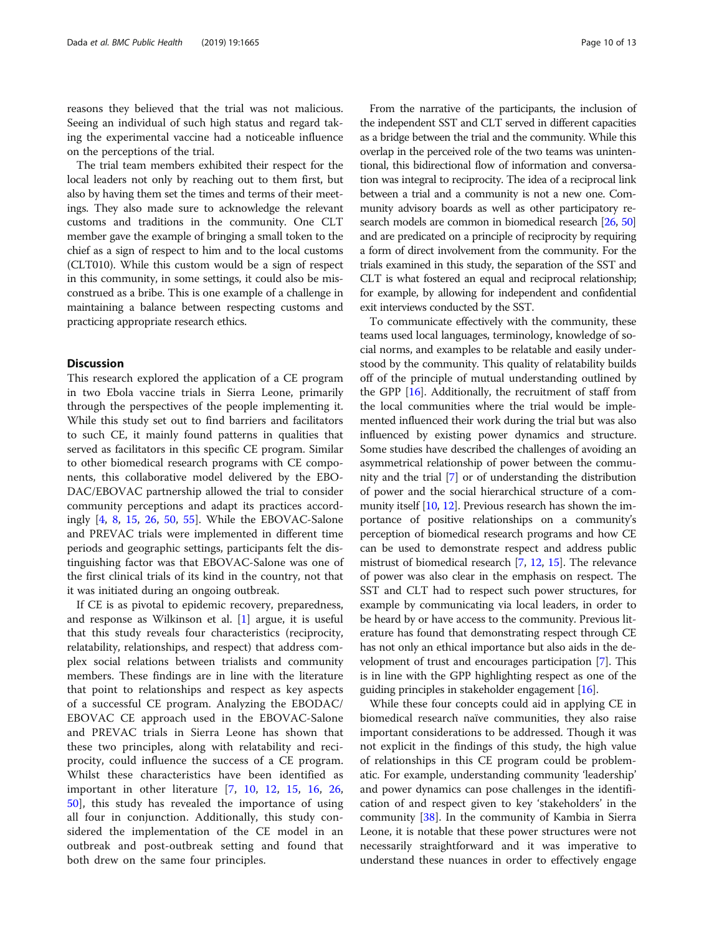reasons they believed that the trial was not malicious. Seeing an individual of such high status and regard taking the experimental vaccine had a noticeable influence on the perceptions of the trial.

The trial team members exhibited their respect for the local leaders not only by reaching out to them first, but also by having them set the times and terms of their meetings. They also made sure to acknowledge the relevant customs and traditions in the community. One CLT member gave the example of bringing a small token to the chief as a sign of respect to him and to the local customs (CLT010). While this custom would be a sign of respect in this community, in some settings, it could also be misconstrued as a bribe. This is one example of a challenge in maintaining a balance between respecting customs and practicing appropriate research ethics.

#### **Discussion**

This research explored the application of a CE program in two Ebola vaccine trials in Sierra Leone, primarily through the perspectives of the people implementing it. While this study set out to find barriers and facilitators to such CE, it mainly found patterns in qualities that served as facilitators in this specific CE program. Similar to other biomedical research programs with CE components, this collaborative model delivered by the EBO-DAC/EBOVAC partnership allowed the trial to consider community perceptions and adapt its practices accordingly [[4,](#page-11-0) [8](#page-11-0), [15](#page-11-0), [26](#page-11-0), [50,](#page-12-0) [55\]](#page-12-0). While the EBOVAC-Salone and PREVAC trials were implemented in different time periods and geographic settings, participants felt the distinguishing factor was that EBOVAC-Salone was one of the first clinical trials of its kind in the country, not that it was initiated during an ongoing outbreak.

If CE is as pivotal to epidemic recovery, preparedness, and response as Wilkinson et al. [\[1\]](#page-11-0) argue, it is useful that this study reveals four characteristics (reciprocity, relatability, relationships, and respect) that address complex social relations between trialists and community members. These findings are in line with the literature that point to relationships and respect as key aspects of a successful CE program. Analyzing the EBODAC/ EBOVAC CE approach used in the EBOVAC-Salone and PREVAC trials in Sierra Leone has shown that these two principles, along with relatability and reciprocity, could influence the success of a CE program. Whilst these characteristics have been identified as important in other literature [\[7](#page-11-0), [10](#page-11-0), [12](#page-11-0), [15](#page-11-0), [16](#page-11-0), [26](#page-11-0), [50\]](#page-12-0), this study has revealed the importance of using all four in conjunction. Additionally, this study considered the implementation of the CE model in an outbreak and post-outbreak setting and found that both drew on the same four principles.

From the narrative of the participants, the inclusion of the independent SST and CLT served in different capacities as a bridge between the trial and the community. While this overlap in the perceived role of the two teams was unintentional, this bidirectional flow of information and conversation was integral to reciprocity. The idea of a reciprocal link between a trial and a community is not a new one. Community advisory boards as well as other participatory research models are common in biomedical research [[26](#page-11-0), [50](#page-12-0)] and are predicated on a principle of reciprocity by requiring a form of direct involvement from the community. For the trials examined in this study, the separation of the SST and CLT is what fostered an equal and reciprocal relationship; for example, by allowing for independent and confidential exit interviews conducted by the SST.

To communicate effectively with the community, these teams used local languages, terminology, knowledge of social norms, and examples to be relatable and easily understood by the community. This quality of relatability builds off of the principle of mutual understanding outlined by the GPP [\[16\]](#page-11-0). Additionally, the recruitment of staff from the local communities where the trial would be implemented influenced their work during the trial but was also influenced by existing power dynamics and structure. Some studies have described the challenges of avoiding an asymmetrical relationship of power between the community and the trial [\[7\]](#page-11-0) or of understanding the distribution of power and the social hierarchical structure of a community itself [\[10,](#page-11-0) [12](#page-11-0)]. Previous research has shown the importance of positive relationships on a community's perception of biomedical research programs and how CE can be used to demonstrate respect and address public mistrust of biomedical research [[7](#page-11-0), [12](#page-11-0), [15](#page-11-0)]. The relevance of power was also clear in the emphasis on respect. The SST and CLT had to respect such power structures, for example by communicating via local leaders, in order to be heard by or have access to the community. Previous literature has found that demonstrating respect through CE has not only an ethical importance but also aids in the development of trust and encourages participation [\[7](#page-11-0)]. This is in line with the GPP highlighting respect as one of the guiding principles in stakeholder engagement [[16](#page-11-0)].

While these four concepts could aid in applying CE in biomedical research naïve communities, they also raise important considerations to be addressed. Though it was not explicit in the findings of this study, the high value of relationships in this CE program could be problematic. For example, understanding community 'leadership' and power dynamics can pose challenges in the identification of and respect given to key 'stakeholders' in the community [\[38](#page-12-0)]. In the community of Kambia in Sierra Leone, it is notable that these power structures were not necessarily straightforward and it was imperative to understand these nuances in order to effectively engage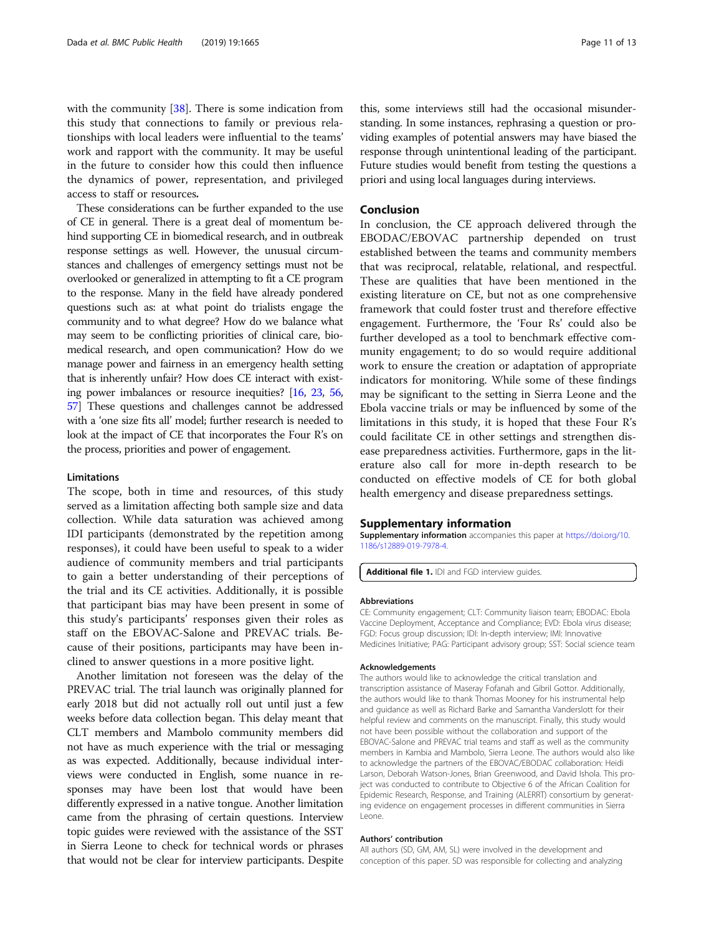<span id="page-10-0"></span>with the community [[38\]](#page-12-0). There is some indication from this study that connections to family or previous relationships with local leaders were influential to the teams' work and rapport with the community. It may be useful in the future to consider how this could then influence the dynamics of power, representation, and privileged access to staff or resources.

These considerations can be further expanded to the use of CE in general. There is a great deal of momentum behind supporting CE in biomedical research, and in outbreak response settings as well. However, the unusual circumstances and challenges of emergency settings must not be overlooked or generalized in attempting to fit a CE program to the response. Many in the field have already pondered questions such as: at what point do trialists engage the community and to what degree? How do we balance what may seem to be conflicting priorities of clinical care, biomedical research, and open communication? How do we manage power and fairness in an emergency health setting that is inherently unfair? How does CE interact with existing power imbalances or resource inequities? [[16](#page-11-0), [23,](#page-11-0) [56](#page-12-0), [57](#page-12-0)] These questions and challenges cannot be addressed with a 'one size fits all' model; further research is needed to look at the impact of CE that incorporates the Four R's on the process, priorities and power of engagement.

#### Limitations

The scope, both in time and resources, of this study served as a limitation affecting both sample size and data collection. While data saturation was achieved among IDI participants (demonstrated by the repetition among responses), it could have been useful to speak to a wider audience of community members and trial participants to gain a better understanding of their perceptions of the trial and its CE activities. Additionally, it is possible that participant bias may have been present in some of this study's participants' responses given their roles as staff on the EBOVAC-Salone and PREVAC trials. Because of their positions, participants may have been inclined to answer questions in a more positive light.

Another limitation not foreseen was the delay of the PREVAC trial. The trial launch was originally planned for early 2018 but did not actually roll out until just a few weeks before data collection began. This delay meant that CLT members and Mambolo community members did not have as much experience with the trial or messaging as was expected. Additionally, because individual interviews were conducted in English, some nuance in responses may have been lost that would have been differently expressed in a native tongue. Another limitation came from the phrasing of certain questions. Interview topic guides were reviewed with the assistance of the SST in Sierra Leone to check for technical words or phrases that would not be clear for interview participants. Despite this, some interviews still had the occasional misunderstanding. In some instances, rephrasing a question or providing examples of potential answers may have biased the response through unintentional leading of the participant. Future studies would benefit from testing the questions a priori and using local languages during interviews.

#### Conclusion

In conclusion, the CE approach delivered through the EBODAC/EBOVAC partnership depended on trust established between the teams and community members that was reciprocal, relatable, relational, and respectful. These are qualities that have been mentioned in the existing literature on CE, but not as one comprehensive framework that could foster trust and therefore effective engagement. Furthermore, the 'Four Rs' could also be further developed as a tool to benchmark effective community engagement; to do so would require additional work to ensure the creation or adaptation of appropriate indicators for monitoring. While some of these findings may be significant to the setting in Sierra Leone and the Ebola vaccine trials or may be influenced by some of the limitations in this study, it is hoped that these Four R's could facilitate CE in other settings and strengthen disease preparedness activities. Furthermore, gaps in the literature also call for more in-depth research to be conducted on effective models of CE for both global health emergency and disease preparedness settings.

#### Supplementary information

Supplementary information accompanies this paper at [https://doi.org/10.](https://doi.org/10.1186/s12889-019-7978-4) [1186/s12889-019-7978-4.](https://doi.org/10.1186/s12889-019-7978-4)

Additional file 1. IDI and FGD interview guides.

#### Abbreviations

CE: Community engagement; CLT: Community liaison team; EBODAC: Ebola Vaccine Deployment, Acceptance and Compliance; EVD: Ebola virus disease; FGD: Focus group discussion; IDI: In-depth interview; IMI: Innovative Medicines Initiative; PAG: Participant advisory group; SST: Social science team

#### Acknowledgements

The authors would like to acknowledge the critical translation and transcription assistance of Maseray Fofanah and Gibril Gottor. Additionally, the authors would like to thank Thomas Mooney for his instrumental help and guidance as well as Richard Barke and Samantha Vanderslott for their helpful review and comments on the manuscript. Finally, this study would not have been possible without the collaboration and support of the EBOVAC-Salone and PREVAC trial teams and staff as well as the community members in Kambia and Mambolo, Sierra Leone. The authors would also like to acknowledge the partners of the EBOVAC/EBODAC collaboration: Heidi Larson, Deborah Watson-Jones, Brian Greenwood, and David Ishola. This project was conducted to contribute to Objective 6 of the African Coalition for Epidemic Research, Response, and Training (ALERRT) consortium by generating evidence on engagement processes in different communities in Sierra Leone.

#### Authors' contribution

All authors (SD, GM, AM, SL) were involved in the development and conception of this paper. SD was responsible for collecting and analyzing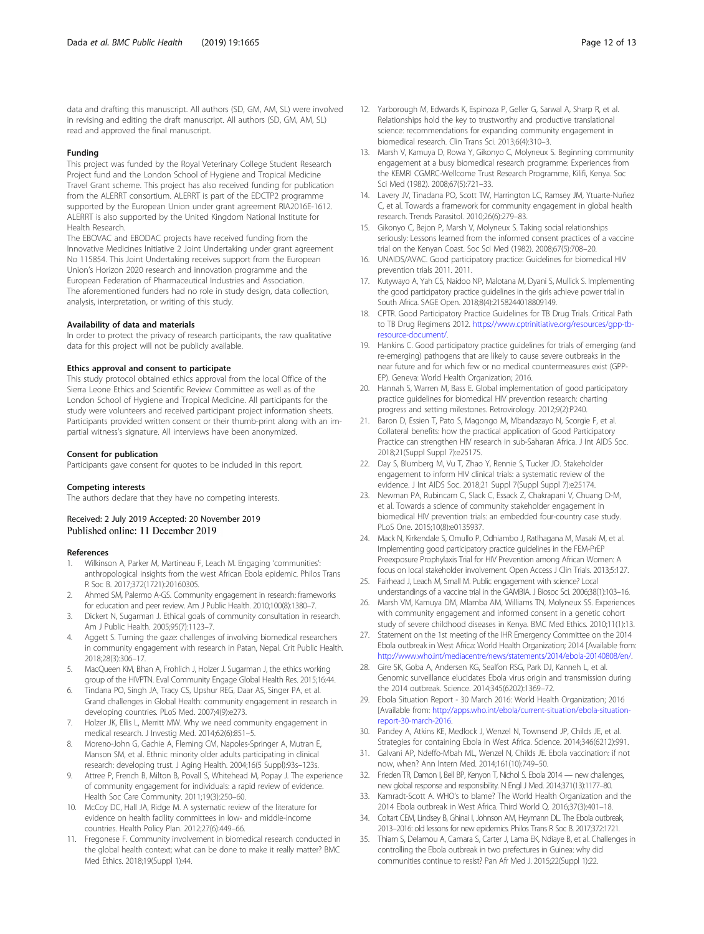<span id="page-11-0"></span>data and drafting this manuscript. All authors (SD, GM, AM, SL) were involved in revising and editing the draft manuscript. All authors (SD, GM, AM, SL) read and approved the final manuscript.

#### Funding

This project was funded by the Royal Veterinary College Student Research Project fund and the London School of Hygiene and Tropical Medicine Travel Grant scheme. This project has also received funding for publication from the ALERRT consortium. ALERRT is part of the EDCTP2 programme supported by the European Union under grant agreement RIA2016E-1612. ALERRT is also supported by the United Kingdom National Institute for Health Research.

The EBOVAC and EBODAC projects have received funding from the Innovative Medicines Initiative 2 Joint Undertaking under grant agreement No 115854. This Joint Undertaking receives support from the European Union's Horizon 2020 research and innovation programme and the European Federation of Pharmaceutical Industries and Association. The aforementioned funders had no role in study design, data collection, analysis, interpretation, or writing of this study.

#### Availability of data and materials

In order to protect the privacy of research participants, the raw qualitative data for this project will not be publicly available.

#### Ethics approval and consent to participate

This study protocol obtained ethics approval from the local Office of the Sierra Leone Ethics and Scientific Review Committee as well as of the London School of Hygiene and Tropical Medicine. All participants for the study were volunteers and received participant project information sheets. Participants provided written consent or their thumb-print along with an impartial witness's signature. All interviews have been anonymized.

#### Consent for publication

Participants gave consent for quotes to be included in this report.

#### Competing interests

The authors declare that they have no competing interests.

Received: 2 July 2019 Accepted: 20 November 2019 Published online: 11 December 2019

#### References

- 1. Wilkinson A, Parker M, Martineau F, Leach M. Engaging 'communities': anthropological insights from the west African Ebola epidemic. Philos Trans R Soc B. 2017;372(1721):20160305.
- 2. Ahmed SM, Palermo A-GS. Community engagement in research: frameworks for education and peer review. Am J Public Health. 2010;100(8):1380–7.
- Dickert N, Sugarman J. Ethical goals of community consultation in research. Am J Public Health. 2005;95(7):1123–7.
- 4. Aggett S. Turning the gaze: challenges of involving biomedical researchers in community engagement with research in Patan, Nepal. Crit Public Health. 2018;28(3):306–17.
- MacQueen KM, Bhan A, Frohlich J, Holzer J. Sugarman J, the ethics working group of the HIVPTN. Eval Community Engage Global Health Res. 2015;16:44.
- Tindana PO, Singh JA, Tracy CS, Upshur REG, Daar AS, Singer PA, et al. Grand challenges in Global Health: community engagement in research in developing countries. PLoS Med. 2007;4(9):e273.
- 7. Holzer JK, Ellis L, Merritt MW. Why we need community engagement in medical research. J Investig Med. 2014;62(6):851–5.
- 8. Moreno-John G, Gachie A, Fleming CM, Napoles-Springer A, Mutran E, Manson SM, et al. Ethnic minority older adults participating in clinical research: developing trust. J Aging Health. 2004;16(5 Suppl):93s–123s.
- 9. Attree P, French B, Milton B, Povall S, Whitehead M, Popay J. The experience of community engagement for individuals: a rapid review of evidence. Health Soc Care Community. 2011;19(3):250–60.
- 10. McCoy DC, Hall JA, Ridge M. A systematic review of the literature for evidence on health facility committees in low- and middle-income countries. Health Policy Plan. 2012;27(6):449–66.
- 11. Fregonese F. Community involvement in biomedical research conducted in the global health context; what can be done to make it really matter? BMC Med Ethics. 2018;19(Suppl 1):44.
- 12. Yarborough M, Edwards K, Espinoza P, Geller G, Sarwal A, Sharp R, et al. Relationships hold the key to trustworthy and productive translational science: recommendations for expanding community engagement in biomedical research. Clin Trans Sci. 2013;6(4):310–3.
- 13. Marsh V, Kamuya D, Rowa Y, Gikonyo C, Molyneux S. Beginning community engagement at a busy biomedical research programme: Experiences from the KEMRI CGMRC-Wellcome Trust Research Programme, Kilifi, Kenya. Soc Sci Med (1982). 2008;67(5):721–33.
- 14. Lavery JV, Tinadana PO, Scott TW, Harrington LC, Ramsey JM, Ytuarte-Nuñez C, et al. Towards a framework for community engagement in global health research. Trends Parasitol. 2010;26(6):279–83.
- 15. Gikonyo C, Bejon P, Marsh V, Molyneux S. Taking social relationships seriously: Lessons learned from the informed consent practices of a vaccine trial on the Kenyan Coast. Soc Sci Med (1982). 2008;67(5):708–20.
- 16. UNAIDS/AVAC. Good participatory practice: Guidelines for biomedical HIV prevention trials 2011. 2011.
- 17. Kutywayo A, Yah CS, Naidoo NP, Malotana M, Dyani S, Mullick S. Implementing the good participatory practice guidelines in the girls achieve power trial in South Africa. SAGE Open. 2018;8(4):2158244018809149.
- 18. CPTR. Good Participatory Practice Guidelines for TB Drug Trials. Critical Path to TB Drug Regimens 2012. [https://www.cptrinitiative.org/resources/gpp-tb](https://www.cptrinitiative.org/resources/gpp-tb-resource-document/)[resource-document/](https://www.cptrinitiative.org/resources/gpp-tb-resource-document/).
- 19. Hankins C. Good participatory practice guidelines for trials of emerging (and re-emerging) pathogens that are likely to cause severe outbreaks in the near future and for which few or no medical countermeasures exist (GPP-EP). Geneva: World Health Organization; 2016.
- 20. Hannah S, Warren M, Bass E. Global implementation of good participatory practice guidelines for biomedical HIV prevention research: charting progress and setting milestones. Retrovirology. 2012;9(2):P240.
- 21. Baron D, Essien T, Pato S, Magongo M, Mbandazayo N, Scorgie F, et al. Collateral benefits: how the practical application of Good Participatory Practice can strengthen HIV research in sub-Saharan Africa. J Int AIDS Soc. 2018;21(Suppl Suppl 7):e25175.
- 22. Day S, Blumberg M, Vu T, Zhao Y, Rennie S, Tucker JD. Stakeholder engagement to inform HIV clinical trials: a systematic review of the evidence. J Int AIDS Soc. 2018;21 Suppl 7(Suppl Suppl 7):e25174.
- 23. Newman PA, Rubincam C, Slack C, Essack Z, Chakrapani V, Chuang D-M, et al. Towards a science of community stakeholder engagement in biomedical HIV prevention trials: an embedded four-country case study. PLoS One. 2015;10(8):e0135937.
- 24. Mack N, Kirkendale S, Omullo P, Odhiambo J, Ratlhagana M, Masaki M, et al. Implementing good participatory practice guidelines in the FEM-PrEP Preexposure Prophylaxis Trial for HIV Prevention among African Women: A focus on local stakeholder involvement. Open Access J Clin Trials. 2013;5:127.
- 25. Fairhead J, Leach M, Small M. Public engagement with science? Local understandings of a vaccine trial in the GAMBIA. J Biosoc Sci. 2006;38(1):103–16.
- 26. Marsh VM, Kamuya DM, Mlamba AM, Williams TN, Molyneux SS. Experiences with community engagement and informed consent in a genetic cohort study of severe childhood diseases in Kenya. BMC Med Ethics. 2010;11(1):13.
- 27. Statement on the 1st meeting of the IHR Emergency Committee on the 2014 Ebola outbreak in West Africa: World Health Organization; 2014 [Available from: <http://www.who.int/mediacentre/news/statements/2014/ebola-20140808/en/>.
- 28. Gire SK, Goba A, Andersen KG, Sealfon RSG, Park DJ, Kanneh L, et al. Genomic surveillance elucidates Ebola virus origin and transmission during the 2014 outbreak. Science. 2014;345(6202):1369–72.
- 29. Ebola Situation Report 30 March 2016: World Health Organization; 2016 [Available from: [http://apps.who.int/ebola/current-situation/ebola-situation](http://apps.who.int/ebola/current-situation/ebola-situation-report-30-march-2016)[report-30-march-2016.](http://apps.who.int/ebola/current-situation/ebola-situation-report-30-march-2016)
- 30. Pandey A, Atkins KE, Medlock J, Wenzel N, Townsend JP, Childs JE, et al. Strategies for containing Ebola in West Africa. Science. 2014;346(6212):991.
- 31. Galvani AP, Ndeffo-Mbah ML, Wenzel N, Childs JE. Ebola vaccination: if not now, when? Ann Intern Med. 2014;161(10):749–50.
- 32. Frieden TR, Damon I, Bell BP, Kenyon T, Nichol S. Ebola 2014 new challenges, new global response and responsibility. N Engl J Med. 2014;371(13):1177–80.
- 33. Kamradt-Scott A. WHO's to blame? The World Health Organization and the 2014 Ebola outbreak in West Africa. Third World Q. 2016;37(3):401–18.
- 34. Coltart CEM, Lindsey B, Ghinai I, Johnson AM, Heymann DL. The Ebola outbreak, 2013–2016: old lessons for new epidemics. Philos Trans R Soc B. 2017;372:1721.
- 35. Thiam S, Delamou A, Camara S, Carter J, Lama EK, Ndiaye B, et al. Challenges in controlling the Ebola outbreak in two prefectures in Guinea: why did communities continue to resist? Pan Afr Med J. 2015;22(Suppl 1):22.